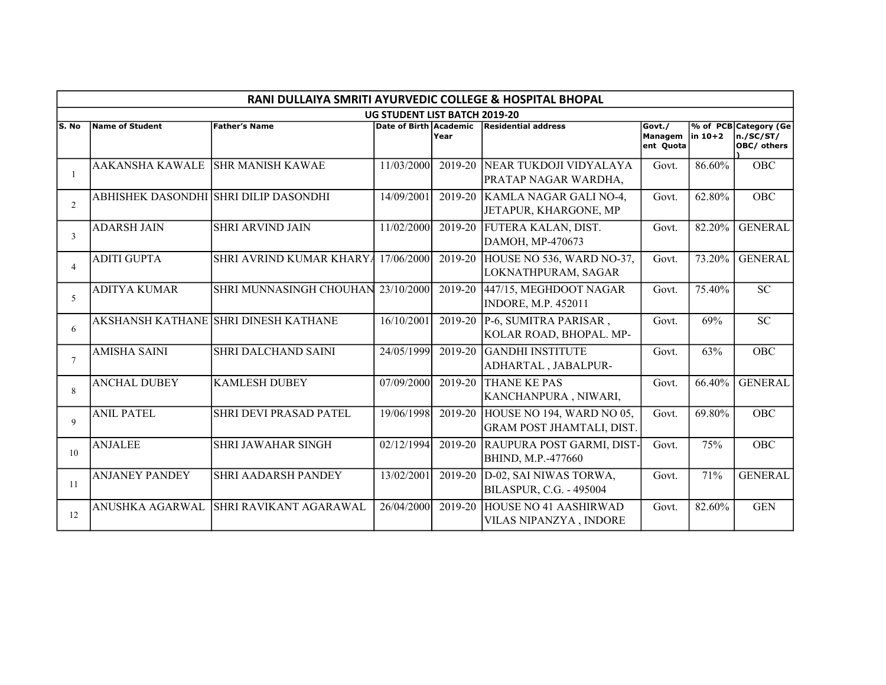|                | RANI DULLAIYA SMRITI AYURVEDIC COLLEGE & HOSPITAL BHOPAL |                                       |                                      |         |                                                               |                                |            |                                                   |  |  |  |  |
|----------------|----------------------------------------------------------|---------------------------------------|--------------------------------------|---------|---------------------------------------------------------------|--------------------------------|------------|---------------------------------------------------|--|--|--|--|
|                |                                                          |                                       | <b>UG STUDENT LIST BATCH 2019-20</b> |         |                                                               |                                |            |                                                   |  |  |  |  |
| S. No          | Name of Student                                          | <b>Father's Name</b>                  | Date of Birth Academic               | Year    | Residential address                                           | Govt./<br>Managem<br>ent Quota | $\ln 10+2$ | % of PCB Category (Ge<br>n./SC/ST/<br>OBC/ others |  |  |  |  |
|                | <b>AAKANSHA KAWALE</b>                                   | ISHR MANISH KAWAE                     | 11/03/2000                           | 2019-20 | NEAR TUKDOJI VIDYALAYA<br>PRATAP NAGAR WARDHA,                | Govt.                          | 86.60%     | <b>OBC</b>                                        |  |  |  |  |
| 2              |                                                          | ABHISHEK DASONDHI SHRI DILIP DASONDHI | 14/09/2001                           | 2019-20 | KAMLA NAGAR GALI NO-4,<br>JETAPUR, KHARGONE, MP               | Govt.                          | 62.80%     | OBC                                               |  |  |  |  |
| 3              | <b>ADARSH JAIN</b>                                       | <b>SHRI ARVIND JAIN</b>               | 11/02/2000                           | 2019-20 | FUTERA KALAN, DIST.<br>DAMOH, MP-470673                       | Govt.                          | 82.20%     | <b>GENERAL</b>                                    |  |  |  |  |
| $\overline{4}$ | <b>ADITI GUPTA</b>                                       | SHRI AVRIND KUMAR KHARYA              | 17/06/2000                           | 2019-20 | HOUSE NO 536, WARD NO-37,<br>LOKNATHPURAM, SAGAR              | Govt.                          | 73.20%     | <b>GENERAL</b>                                    |  |  |  |  |
| 5              | <b>ADITYA KUMAR</b>                                      | SHRI MUNNASINGH CHOUHAN               | 23/10/2000                           | 2019-20 | 447/15, MEGHDOOT NAGAR<br><b>INDORE, M.P. 452011</b>          | Govt.                          | 75.40%     | SC                                                |  |  |  |  |
| 6              |                                                          | AKSHANSH KATHANE SHRI DINESH KATHANE  | 16/10/2001                           | 2019-20 | P-6, SUMITRA PARISAR,<br>KOLAR ROAD, BHOPAL. MP-              | Govt.                          | 69%        | <b>SC</b>                                         |  |  |  |  |
| 7              | <b>AMISHA SAINI</b>                                      | <b>SHRI DALCHAND SAINI</b>            | 24/05/1999                           | 2019-20 | GANDHI INSTITUTE<br>ADHARTAL, JABALPUR-                       | Govt.                          | 63%        | <b>OBC</b>                                        |  |  |  |  |
| 8              | <b>ANCHAL DUBEY</b>                                      | <b>KAMLESH DUBEY</b>                  | 07/09/2000                           | 2019-20 | <b>THANE KE PAS</b><br>KANCHANPURA, NIWARI,                   | Govt.                          | 66.40%     | <b>GENERAL</b>                                    |  |  |  |  |
| 9              | <b>ANIL PATEL</b>                                        | <b>SHRI DEVI PRASAD PATEL</b>         | 19/06/1998                           | 2019-20 | HOUSE NO 194, WARD NO 05,<br><b>GRAM POST JHAMTALI, DIST.</b> | Govt.                          | 69.80%     | <b>OBC</b>                                        |  |  |  |  |
| 10             | <b>ANJALEE</b>                                           | <b>SHRI JAWAHAR SINGH</b>             | 02/12/1994                           | 2019-20 | RAUPURA POST GARMI, DIST-<br>BHIND, M.P.-477660               | Govt.                          | 75%        | <b>OBC</b>                                        |  |  |  |  |
| -11            | <b>ANJANEY PANDEY</b>                                    | <b>SHRI AADARSH PANDEY</b>            | 13/02/2001                           | 2019-20 | D-02, SAI NIWAS TORWA,<br><b>BILASPUR, C.G. - 495004</b>      | Govt.                          | 71%        | <b>GENERAL</b>                                    |  |  |  |  |
| 12             | ANUSHKA AGARWAL                                          | SHRI RAVIKANT AGARAWAL                | 26/04/2000                           | 2019-20 | HOUSE NO 41 AASHIRWAD<br>VILAS NIPANZYA, INDORE               | Govt.                          | 82.60%     | <b>GEN</b>                                        |  |  |  |  |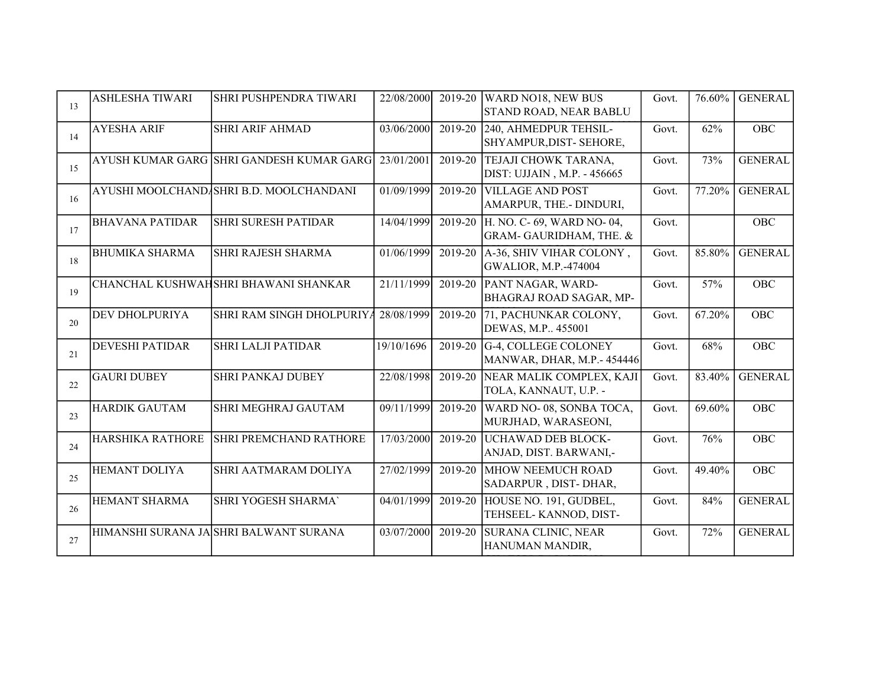| 13 | <b>ASHLESHA TIWARI</b>  | SHRI PUSHPENDRA TIWARI                   | 22/08/2000 |         | 2019-20 WARD NO18, NEW BUS<br><b>STAND ROAD, NEAR BABLU</b> | Govt. | 76.60% | <b>GENERAL</b> |
|----|-------------------------|------------------------------------------|------------|---------|-------------------------------------------------------------|-------|--------|----------------|
| 14 | <b>AYESHA ARIF</b>      | <b>SHRI ARIF AHMAD</b>                   | 03/06/2000 | 2019-20 | 240, AHMEDPUR TEHSIL-<br>SHYAMPUR, DIST-SEHORE,             | Govt. | 62%    | OBC            |
| 15 |                         | AYUSH KUMAR GARG SHRI GANDESH KUMAR GARG | 23/01/2001 |         | 2019-20 TEJAJI CHOWK TARANA,<br>DIST: UJJAIN, M.P. - 456665 | Govt. | 73%    | <b>GENERAL</b> |
| 16 |                         | AYUSHI MOOLCHANDASHRI B.D. MOOLCHANDANI  | 01/09/1999 | 2019-20 | <b>VILLAGE AND POST</b><br>AMARPUR, THE.- DINDURI,          | Govt. | 77.20% | <b>GENERAL</b> |
| 17 | <b>BHAVANA PATIDAR</b>  | <b>SHRI SURESH PATIDAR</b>               | 14/04/1999 | 2019-20 | H. NO. C- 69, WARD NO- 04,<br>GRAM-GAURIDHAM, THE. &        | Govt. |        | <b>OBC</b>     |
| 18 | <b>BHUMIKA SHARMA</b>   | SHRI RAJESH SHARMA                       | 01/06/1999 | 2019-20 | A-36, SHIV VIHAR COLONY,<br><b>GWALIOR, M.P.-474004</b>     | Govt. | 85.80% | <b>GENERAL</b> |
| 19 |                         | CHANCHAL KUSHWAHSHRI BHAWANI SHANKAR     | 21/11/1999 | 2019-20 | PANT NAGAR, WARD-<br>BHAGRAJ ROAD SAGAR, MP-                | Govt. | 57%    | <b>OBC</b>     |
| 20 | DEV DHOLPURIYA          | SHRI RAM SINGH DHOLPURIYA                | 28/08/1999 | 2019-20 | 71, PACHUNKAR COLONY,<br>DEWAS, M.P., 455001                | Govt. | 67.20% | OBC            |
| 21 | <b>DEVESHI PATIDAR</b>  | <b>SHRI LALJI PATIDAR</b>                | 19/10/1696 | 2019-20 | G-4, COLLEGE COLONEY<br>MANWAR, DHAR, M.P.- 454446          | Govt. | 68%    | OBC            |
| 22 | <b>GAURI DUBEY</b>      | <b>SHRI PANKAJ DUBEY</b>                 | 22/08/1998 |         | 2019-20 NEAR MALIK COMPLEX, KAJI<br>TOLA, KANNAUT, U.P. -   | Govt. | 83.40% | <b>GENERAL</b> |
| 23 | <b>HARDIK GAUTAM</b>    | SHRI MEGHRAJ GAUTAM                      | 09/11/1999 | 2019-20 | WARD NO-08, SONBA TOCA,<br>MURJHAD, WARASEONI,              | Govt. | 69.60% | <b>OBC</b>     |
| 24 | <b>HARSHIKA RATHORE</b> | <b>SHRI PREMCHAND RATHORE</b>            | 17/03/2000 |         | 2019-20 UCHAWAD DEB BLOCK-<br>ANJAD, DIST. BARWANI,-        | Govt. | 76%    | <b>OBC</b>     |
| 25 | <b>HEMANT DOLIYA</b>    | SHRI AATMARAM DOLIYA                     | 27/02/1999 | 2019-20 | <b>MHOW NEEMUCH ROAD</b><br>SADARPUR, DIST-DHAR,            | Govt. | 49.40% | <b>OBC</b>     |
| 26 | <b>HEMANT SHARMA</b>    | SHRI YOGESH SHARMA`                      | 04/01/1999 | 2019-20 | HOUSE NO. 191, GUDBEL,<br>TEHSEEL-KANNOD, DIST-             | Govt. | 84%    | <b>GENERAL</b> |
| 27 |                         | HIMANSHI SURANA JA SHRI BALWANT SURANA   | 03/07/2000 | 2019-20 | <b>SURANA CLINIC, NEAR</b><br>HANUMAN MANDIR,               | Govt. | 72%    | <b>GENERAL</b> |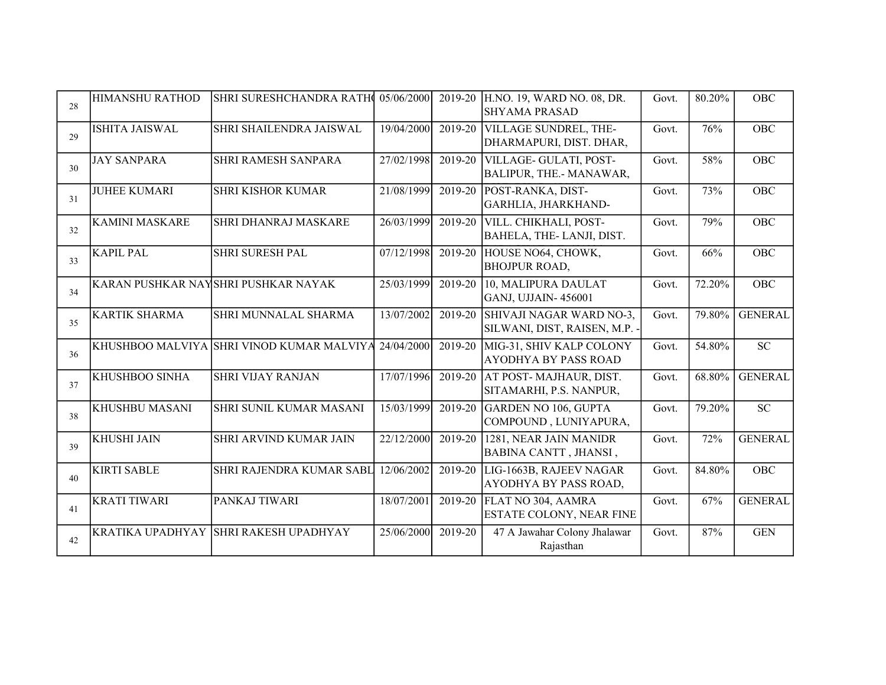| 28 | <b>HIMANSHU RATHOD</b>  | SHRI SURESHCHANDRA RATH 05/06/2000                   |            | 2019-20   | H.NO. 19, WARD NO. 08, DR.<br><b>SHYAMA PRASAD</b>        | Govt. | 80.20% | OBC             |
|----|-------------------------|------------------------------------------------------|------------|-----------|-----------------------------------------------------------|-------|--------|-----------------|
| 29 | ISHITA JAISWAL          | SHRI SHAILENDRA JAISWAL                              | 19/04/2000 | 2019-20   | VILLAGE SUNDREL, THE-<br>DHARMAPURI, DIST. DHAR,          | Govt. | 76%    | <b>OBC</b>      |
| 30 | <b>JAY SANPARA</b>      | SHRI RAMESH SANPARA                                  | 27/02/1998 | 2019-20   | VILLAGE- GULATI, POST-<br>BALIPUR, THE.- MANAWAR,         | Govt. | 58%    | <b>OBC</b>      |
| 31 | <b>JUHEE KUMARI</b>     | <b>SHRI KISHOR KUMAR</b>                             | 21/08/1999 | 2019-20   | POST-RANKA, DIST-<br>GARHLIA, JHARKHAND-                  | Govt. | 73%    | <b>OBC</b>      |
| 32 | <b>KAMINI MASKARE</b>   | SHRI DHANRAJ MASKARE                                 | 26/03/1999 | 2019-20   | VILL. CHIKHALI, POST-<br>BAHELA, THE-LANJI, DIST.         | Govt. | 79%    | <b>OBC</b>      |
| 33 | <b>KAPIL PAL</b>        | SHRI SURESH PAL                                      | 07/12/1998 | 2019-20   | HOUSE NO64, CHOWK,<br><b>BHOJPUR ROAD,</b>                | Govt. | 66%    | <b>OBC</b>      |
| 34 |                         | KARAN PUSHKAR NAYSHRI PUSHKAR NAYAK                  | 25/03/1999 | 2019-20   | 10, MALIPURA DAULAT<br>GANJ, UJJAIN-456001                | Govt. | 72.20% | <b>OBC</b>      |
| 35 | <b>KARTIK SHARMA</b>    | SHRI MUNNALAL SHARMA                                 | 13/07/2002 | 2019-20   | SHIVAJI NAGAR WARD NO-3,<br>SILWANI, DIST, RAISEN, M.P. - | Govt. | 79.80% | <b>GENERAL</b>  |
| 36 |                         | KHUSHBOO MALVIYA SHRI VINOD KUMAR MALVIYA 24/04/2000 |            | 2019-20   | MIG-31, SHIV KALP COLONY<br><b>AYODHYA BY PASS ROAD</b>   | Govt. | 54.80% | <b>SC</b>       |
| 37 | KHUSHBOO SINHA          | <b>SHRI VIJAY RANJAN</b>                             | 17/07/1996 | 2019-20   | AT POST-MAJHAUR, DIST.<br>SITAMARHI, P.S. NANPUR,         | Govt. | 68.80% | <b>GENERAL</b>  |
| 38 | KHUSHBU MASANI          | SHRI SUNIL KUMAR MASANI                              | 15/03/1999 | $2019-20$ | <b>GARDEN NO 106, GUPTA</b><br>COMPOUND, LUNIYAPURA,      | Govt. | 79.20% | $\overline{SC}$ |
| 39 | <b>KHUSHI JAIN</b>      | SHRI ARVIND KUMAR JAIN                               | 22/12/2000 | 2019-20   | 1281, NEAR JAIN MANIDR<br>BABINA CANTT, JHANSI,           | Govt. | 72%    | <b>GENERAL</b>  |
| 40 | <b>KIRTI SABLE</b>      | SHRI RAJENDRA KUMAR SABL                             | 12/06/2002 | 2019-20   | LIG-1663B, RAJEEV NAGAR<br><b>AYODHYA BY PASS ROAD,</b>   | Govt. | 84.80% | <b>OBC</b>      |
| 41 | <b>KRATI TIWARI</b>     | PANKAJ TIWARI                                        | 18/07/2001 | 2019-20   | FLAT NO 304, AAMRA<br>ESTATE COLONY, NEAR FINE            | Govt. | 67%    | <b>GENERAL</b>  |
| 42 | <b>KRATIKA UPADHYAY</b> | <b>SHRI RAKESH UPADHYAY</b>                          | 25/06/2000 | 2019-20   | 47 A Jawahar Colony Jhalawar<br>Rajasthan                 | Govt. | 87%    | <b>GEN</b>      |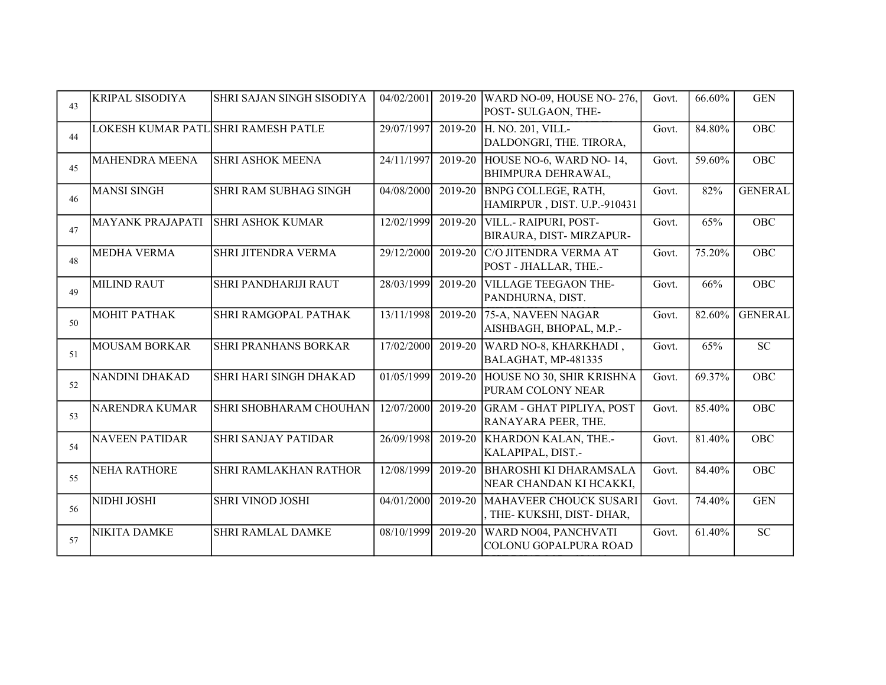| 43 | <b>KRIPAL SISODIYA</b>              | SHRI SAJAN SINGH SISODIYA    | 04/02/2001 | 2019-20 | WARD NO-09, HOUSE NO-276,<br>POST- SULGAON, THE-          | Govt. | 66.60% | <b>GEN</b>     |
|----|-------------------------------------|------------------------------|------------|---------|-----------------------------------------------------------|-------|--------|----------------|
| 44 | LOKESH KUMAR PATL SHRI RAMESH PATLE |                              | 29/07/1997 | 2019-20 | H. NO. 201, VILL-<br>DALDONGRI, THE. TIRORA,              | Govt. | 84.80% | OBC            |
| 45 | <b>MAHENDRA MEENA</b>               | <b>SHRI ASHOK MEENA</b>      | 24/11/1997 | 2019-20 | HOUSE NO-6, WARD NO-14,<br><b>BHIMPURA DEHRAWAL,</b>      | Govt. | 59.60% | OBC            |
| 46 | <b>MANSI SINGH</b>                  | <b>SHRI RAM SUBHAG SINGH</b> | 04/08/2000 | 2019-20 | <b>BNPG COLLEGE, RATH,</b><br>HAMIRPUR, DIST. U.P.-910431 | Govt. | 82%    | <b>GENERAL</b> |
| 47 | <b>MAYANK PRAJAPATI</b>             | <b>SHRI ASHOK KUMAR</b>      | 12/02/1999 | 2019-20 | VILL.- RAIPURI, POST-<br>BIRAURA, DIST-MIRZAPUR-          | Govt. | 65%    | <b>OBC</b>     |
| 48 | <b>MEDHA VERMA</b>                  | SHRI JITENDRA VERMA          | 29/12/2000 | 2019-20 | C/O JITENDRA VERMA AT<br>POST - JHALLAR, THE .-           | Govt. | 75.20% | OBC            |
| 49 | <b>MILIND RAUT</b>                  | <b>SHRI PANDHARIJI RAUT</b>  | 28/03/1999 | 2019-20 | <b>VILLAGE TEEGAON THE-</b><br>PANDHURNA, DIST.           | Govt. | 66%    | OBC            |
| 50 | МОНІТ РАТНАК                        | SHRI RAMGOPAL PATHAK         | 13/11/1998 | 2019-20 | 75-A, NAVEEN NAGAR<br>AISHBAGH, BHOPAL, M.P.-             | Govt. | 82.60% | <b>GENERAL</b> |
| 51 | <b>MOUSAM BORKAR</b>                | <b>SHRI PRANHANS BORKAR</b>  | 17/02/2000 | 2019-20 | WARD NO-8, KHARKHADI,<br>BALAGHAT, MP-481335              | Govt. | 65%    | ${\rm SC}$     |
| 52 | NANDINI DHAKAD                      | SHRI HARI SINGH DHAKAD       | 01/05/1999 | 2019-20 | HOUSE NO 30, SHIR KRISHNA<br>PURAM COLONY NEAR            | Govt. | 69.37% | OBC            |
| 53 | <b>NARENDRA KUMAR</b>               | SHRI SHOBHARAM CHOUHAN       | 12/07/2000 | 2019-20 | <b>GRAM - GHAT PIPLIYA, POST</b><br>RANAYARA PEER, THE.   | Govt. | 85.40% | OBC            |
| 54 | <b>NAVEEN PATIDAR</b>               | <b>SHRI SANJAY PATIDAR</b>   | 26/09/1998 | 2019-20 | <b>KHARDON KALAN, THE.-</b><br>KALAPIPAL, DIST.-          | Govt. | 81.40% | <b>OBC</b>     |
| 55 | <b>NEHA RATHORE</b>                 | <b>SHRI RAMLAKHAN RATHOR</b> | 12/08/1999 | 2019-20 | <b>BHAROSHI KI DHARAMSALA</b><br>NEAR CHANDAN KI HCAKKI,  | Govt. | 84.40% | OBC            |
| 56 | NIDHI JOSHI                         | <b>SHRI VINOD JOSHI</b>      | 04/01/2000 | 2019-20 | MAHAVEER CHOUCK SUSARI<br>THE-KUKSHI, DIST-DHAR,          | Govt. | 74.40% | <b>GEN</b>     |
| 57 | <b>NIKITA DAMKE</b>                 | <b>SHRI RAMLAL DAMKE</b>     | 08/10/1999 | 2019-20 | WARD NO04, PANCHVATI<br><b>COLONU GOPALPURA ROAD</b>      | Govt. | 61.40% | ${\rm SC}$     |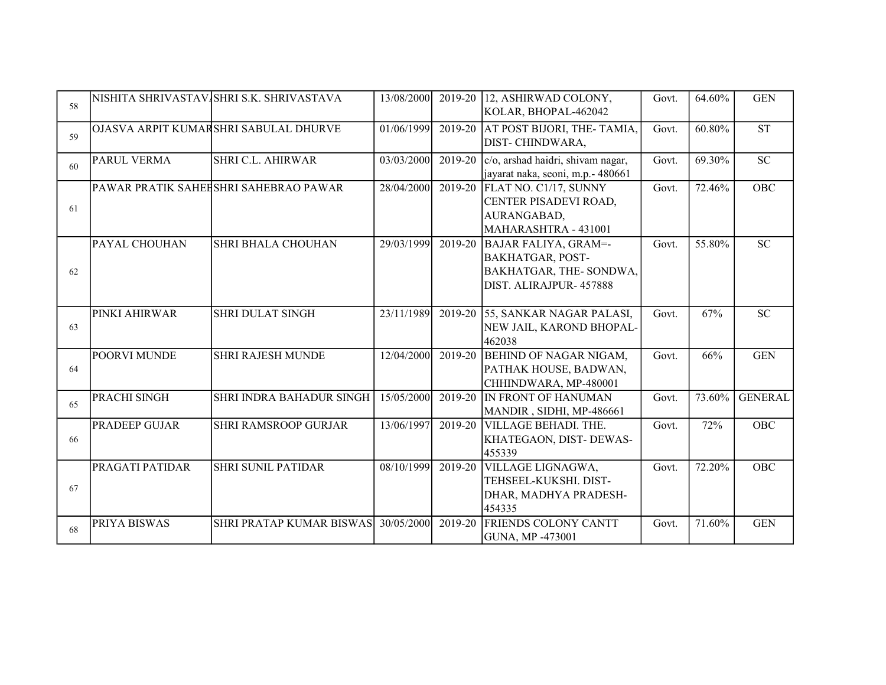| 58 |                     | NISHITA SHRIVASTAV SHRI S.K. SHRIVASTAVA | 13/08/2000 |         | 2019-20 12, ASHIRWAD COLONY,<br>KOLAR, BHOPAL-462042                                                        | Govt. | 64.60% | <b>GEN</b>     |
|----|---------------------|------------------------------------------|------------|---------|-------------------------------------------------------------------------------------------------------------|-------|--------|----------------|
| 59 |                     | OJASVA ARPIT KUMARSHRI SABULAL DHURVE    | 01/06/1999 |         | 2019-20 AT POST BIJORI, THE-TAMIA,<br>DIST-CHINDWARA,                                                       | Govt. | 60.80% | <b>ST</b>      |
| 60 | PARUL VERMA         | <b>SHRI C.L. AHIRWAR</b>                 | 03/03/2000 | 2019-20 | c/o, arshad haidri, shivam nagar,<br>jayarat naka, seoni, m.p.- 480661                                      | Govt. | 69.30% | <b>SC</b>      |
| 61 |                     | PAWAR PRATIK SAHEESHRI SAHEBRAO PAWAR    | 28/04/2000 |         | 2019-20 FLAT NO. C1/17, SUNNY<br>CENTER PISADEVI ROAD,<br>AURANGABAD,<br>MAHARASHTRA - 431001               | Govt. | 72.46% | OBC            |
| 62 | PAYAL CHOUHAN       | <b>SHRI BHALA CHOUHAN</b>                | 29/03/1999 | 2019-20 | <b>BAJAR FALIYA, GRAM=-</b><br><b>BAKHATGAR, POST-</b><br>BAKHATGAR, THE-SONDWA,<br>DIST. ALIRAJPUR- 457888 | Govt. | 55.80% | <b>SC</b>      |
| 63 | PINKI AHIRWAR       | <b>SHRI DULAT SINGH</b>                  | 23/11/1989 |         | 2019-20 55, SANKAR NAGAR PALASI,<br>NEW JAIL, KAROND BHOPAL-<br>462038                                      | Govt. | 67%    | <b>SC</b>      |
| 64 | <b>POORVI MUNDE</b> | <b>SHRI RAJESH MUNDE</b>                 | 12/04/2000 | 2019-20 | <b>BEHIND OF NAGAR NIGAM,</b><br>PATHAK HOUSE, BADWAN,<br>CHHINDWARA, MP-480001                             | Govt. | 66%    | <b>GEN</b>     |
| 65 | PRACHI SINGH        | SHRI INDRA BAHADUR SINGH                 | 15/05/2000 | 2019-20 | IN FRONT OF HANUMAN<br>MANDIR, SIDHI, MP-486661                                                             | Govt. | 73.60% | <b>GENERAL</b> |
| 66 | PRADEEP GUJAR       | <b>SHRI RAMSROOP GURJAR</b>              | 13/06/1997 | 2019-20 | <b>VILLAGE BEHADI. THE.</b><br>KHATEGAON, DIST-DEWAS-<br>455339                                             | Govt. | 72%    | <b>OBC</b>     |
| 67 | PRAGATI PATIDAR     | <b>SHRI SUNIL PATIDAR</b>                | 08/10/1999 | 2019-20 | VILLAGE LIGNAGWA,<br>TEHSEEL-KUKSHI. DIST-<br>DHAR, MADHYA PRADESH-<br>454335                               | Govt. | 72.20% | OBC            |
| 68 | PRIYA BISWAS        | SHRI PRATAP KUMAR BISWAS                 | 30/05/2000 | 2019-20 | FRIENDS COLONY CANTT<br><b>GUNA, MP -473001</b>                                                             | Govt. | 71.60% | <b>GEN</b>     |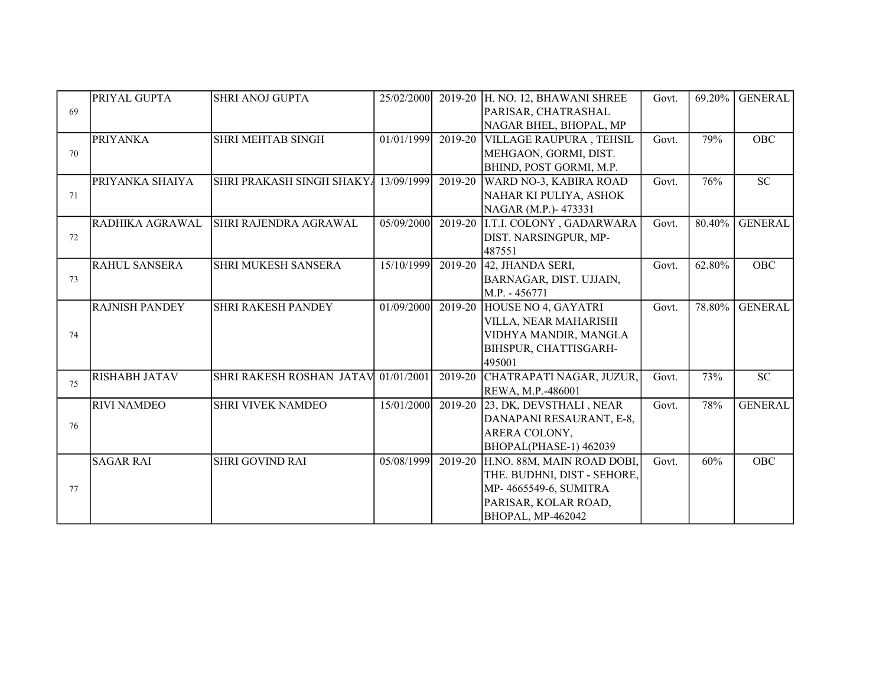|    | PRIYAL GUPTA          | <b>SHRI ANOJ GUPTA</b>              | 25/02/2000 |         | 2019-20 H. NO. 12, BHAWANI SHREE   | Govt. | 69.20% | <b>GENERAL</b> |
|----|-----------------------|-------------------------------------|------------|---------|------------------------------------|-------|--------|----------------|
| 69 |                       |                                     |            |         | PARISAR, CHATRASHAL                |       |        |                |
|    |                       |                                     |            |         | NAGAR BHEL, BHOPAL, MP             |       |        |                |
|    | <b>PRIYANKA</b>       | <b>SHRI MEHTAB SINGH</b>            | 01/01/1999 | 2019-20 | <b>VILLAGE RAUPURA, TEHSIL</b>     | Govt. | 79%    | <b>OBC</b>     |
| 70 |                       |                                     |            |         | MEHGAON, GORMI, DIST.              |       |        |                |
|    |                       |                                     |            |         | BHIND, POST GORMI, M.P.            |       |        |                |
|    | PRIYANKA SHAIYA       | SHRI PRAKASH SINGH SHAKYA           | 13/09/1999 | 2019-20 | WARD NO-3, KABIRA ROAD             | Govt. | 76%    | <b>SC</b>      |
| 71 |                       |                                     |            |         | NAHAR KI PULIYA, ASHOK             |       |        |                |
|    |                       |                                     |            |         | NAGAR (M.P.)-473331                |       |        |                |
|    | RADHIKA AGRAWAL       | SHRI RAJENDRA AGRAWAL               | 05/09/2000 |         | 2019-20 I.T.I. COLONY, GADARWARA   | Govt. | 80.40% | <b>GENERAL</b> |
| 72 |                       |                                     |            |         | DIST. NARSINGPUR, MP-              |       |        |                |
|    |                       |                                     |            |         | 487551                             |       |        |                |
|    | <b>RAHUL SANSERA</b>  | <b>SHRI MUKESH SANSERA</b>          | 15/10/1999 | 2019-20 | 42, JHANDA SERI,                   | Govt. | 62.80% | <b>OBC</b>     |
| 73 |                       |                                     |            |         | BARNAGAR, DIST. UJJAIN,            |       |        |                |
|    |                       |                                     |            |         | M.P. - 456771                      |       |        |                |
|    | <b>RAJNISH PANDEY</b> | <b>SHRI RAKESH PANDEY</b>           | 01/09/2000 |         | 2019-20 HOUSE NO 4, GAYATRI        | Govt. | 78.80% | <b>GENERAL</b> |
|    |                       |                                     |            |         | VILLA, NEAR MAHARISHI              |       |        |                |
| 74 |                       |                                     |            |         | VIDHYA MANDIR, MANGLA              |       |        |                |
|    |                       |                                     |            |         | BIHSPUR, CHATTISGARH-              |       |        |                |
|    |                       |                                     |            |         | 495001                             |       |        |                |
| 75 | <b>RISHABH JATAV</b>  | SHRI RAKESH ROSHAN JATAV 01/01/2001 |            | 2019-20 | CHATRAPATI NAGAR, JUZUR,           | Govt. | 73%    | <b>SC</b>      |
|    |                       |                                     |            |         | REWA, M.P.-486001                  |       |        |                |
|    | <b>RIVI NAMDEO</b>    | <b>SHRI VIVEK NAMDEO</b>            | 15/01/2000 |         | 2019-20 23, DK, DEVSTHALI, NEAR    | Govt. | 78%    | <b>GENERAL</b> |
| 76 |                       |                                     |            |         | DANAPANI RESAURANT, E-8,           |       |        |                |
|    |                       |                                     |            |         | ARERA COLONY,                      |       |        |                |
|    |                       |                                     |            |         | BHOPAL(PHASE-1) 462039             |       |        |                |
|    | <b>SAGAR RAI</b>      | <b>SHRI GOVIND RAI</b>              | 05/08/1999 |         | 2019-20 H.NO. 88M, MAIN ROAD DOBI. | Govt. | 60%    | <b>OBC</b>     |
|    |                       |                                     |            |         | THE. BUDHNI, DIST - SEHORE.        |       |        |                |
| 77 |                       |                                     |            |         | MP-4665549-6, SUMITRA              |       |        |                |
|    |                       |                                     |            |         | PARISAR, KOLAR ROAD,               |       |        |                |
|    |                       |                                     |            |         | BHOPAL, MP-462042                  |       |        |                |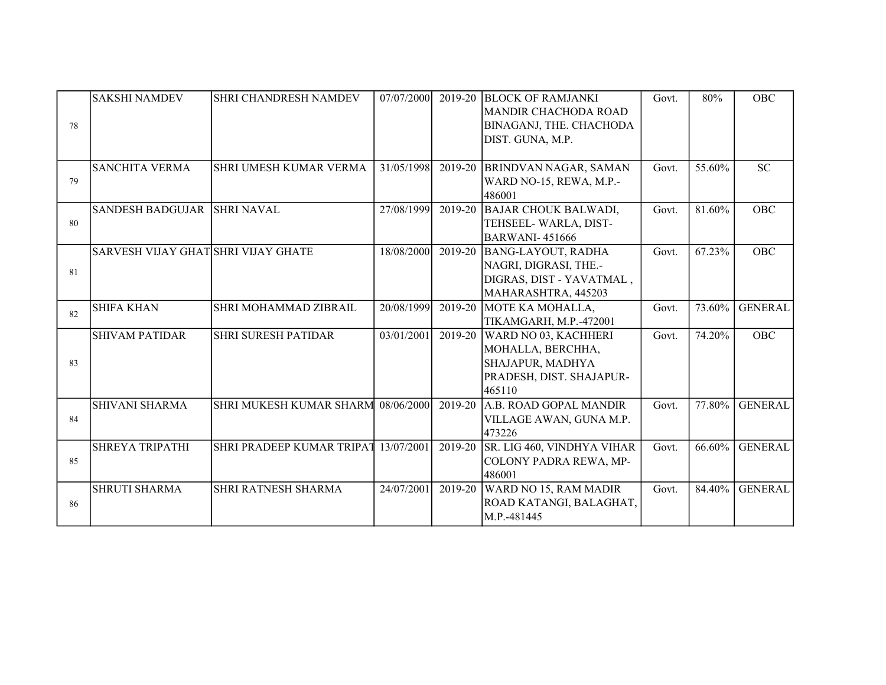| 78 | <b>SAKSHI NAMDEV</b>                | <b>SHRI CHANDRESH NAMDEV</b>         | 07/07/2000 | 2019-20     | <b>BLOCK OF RAMJANKI</b><br><b>MANDIR CHACHODA ROAD</b><br>BINAGANJ, THE. CHACHODA<br>DIST. GUNA, M.P. | Govt. | 80%    | OBC            |
|----|-------------------------------------|--------------------------------------|------------|-------------|--------------------------------------------------------------------------------------------------------|-------|--------|----------------|
| 79 | <b>SANCHITA VERMA</b>               | SHRI UMESH KUMAR VERMA               | 31/05/1998 | $2019 - 20$ | <b>BRINDVAN NAGAR, SAMAN</b><br>WARD NO-15, REWA, M.P.-<br>486001                                      | Govt. | 55.60% | <b>SC</b>      |
| 80 | SANDESH BADGUJAR SHRI NAVAL         |                                      | 27/08/1999 | 2019-20     | <b>BAJAR CHOUK BALWADI,</b><br>TEHSEEL-WARLA, DIST-<br><b>BARWANI-451666</b>                           | Govt. | 81.60% | <b>OBC</b>     |
| 81 | SARVESH VIJAY GHAT SHRI VIJAY GHATE |                                      | 18/08/2000 | 2019-20     | <b>BANG-LAYOUT, RADHA</b><br>NAGRI, DIGRASI, THE .-<br>DIGRAS, DIST - YAVATMAL,<br>MAHARASHTRA, 445203 | Govt. | 67.23% | OBC            |
| 82 | <b>SHIFA KHAN</b>                   | SHRI MOHAMMAD ZIBRAIL                | 20/08/1999 | 2019-20     | MOTE KA MOHALLA,<br>TIKAMGARH, M.P.-472001                                                             | Govt. | 73.60% | <b>GENERAL</b> |
| 83 | <b>SHIVAM PATIDAR</b>               | <b>SHRI SURESH PATIDAR</b>           | 03/01/2001 | 2019-20     | WARD NO 03, KACHHERI<br>MOHALLA, BERCHHA,<br>SHAJAPUR, MADHYA<br>PRADESH, DIST. SHAJAPUR-<br>465110    | Govt. | 74.20% | OBC            |
| 84 | <b>SHIVANI SHARMA</b>               | SHRI MUKESH KUMAR SHARM 08/06/2000   |            | 2019-20     | A.B. ROAD GOPAL MANDIR<br>VILLAGE AWAN, GUNA M.P.<br>473226                                            | Govt. | 77.80% | <b>GENERAL</b> |
| 85 | <b>SHREYA TRIPATHI</b>              | SHRI PRADEEP KUMAR TRIPAT 13/07/2001 |            | 2019-20     | SR. LIG 460, VINDHYA VIHAR<br>COLONY PADRA REWA, MP-<br>486001                                         | Govt. | 66.60% | <b>GENERAL</b> |
| 86 | <b>SHRUTI SHARMA</b>                | SHRI RATNESH SHARMA                  | 24/07/2001 | 2019-20     | WARD NO 15, RAM MADIR<br>ROAD KATANGI, BALAGHAT,<br>M.P.-481445                                        | Govt. | 84.40% | <b>GENERAL</b> |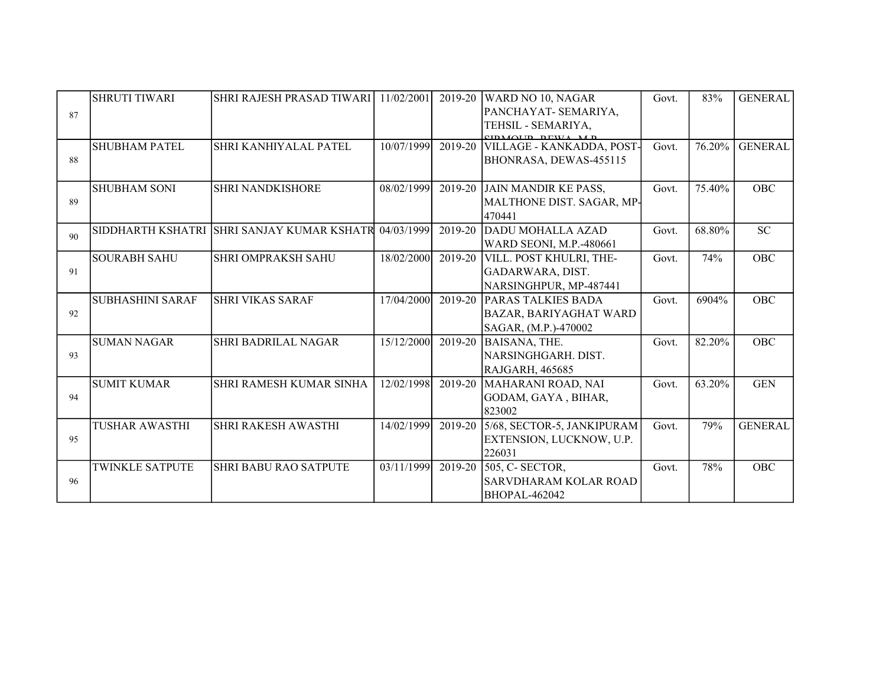|    | <b>SHRUTI TIWARI</b>    | <b>SHRI RAJESH PRASAD TIWARI</b>           | 11/02/2001 | 2019-20 | WARD NO 10, NAGAR                             | Govt. | 83%    | <b>GENERAL</b> |
|----|-------------------------|--------------------------------------------|------------|---------|-----------------------------------------------|-------|--------|----------------|
| 87 |                         |                                            |            |         | PANCHAYAT- SEMARIYA,                          |       |        |                |
|    |                         |                                            |            |         | TEHSIL - SEMARIYA,<br><b>CIDMOLID DEWA MD</b> |       |        |                |
|    | <b>SHUBHAM PATEL</b>    | <b>SHRI KANHIYALAL PATEL</b>               | 10/07/1999 | 2019-20 | VILLAGE - KANKADDA, POST-                     | Govt. | 76.20% | <b>GENERAL</b> |
| 88 |                         |                                            |            |         | BHONRASA, DEWAS-455115                        |       |        |                |
|    | <b>SHUBHAM SONI</b>     | <b>SHRI NANDKISHORE</b>                    | 08/02/1999 |         | 2019-20 JAIN MANDIR KE PASS,                  | Govt. | 75.40% | <b>OBC</b>     |
| 89 |                         |                                            |            |         | MALTHONE DIST. SAGAR, MP-<br>470441           |       |        |                |
| 90 |                         | SIDDHARTH KSHATRI SHRI SANJAY KUMAR KSHATR | 04/03/1999 | 2019-20 | DADU MOHALLA AZAD                             | Govt. | 68.80% | <b>SC</b>      |
|    |                         |                                            |            |         | WARD SEONI, M.P.-480661                       |       |        |                |
|    | <b>SOURABH SAHU</b>     | <b>SHRI OMPRAKSH SAHU</b>                  | 18/02/2000 | 2019-20 | VILL. POST KHULRI, THE-                       | Govt. | 74%    | <b>OBC</b>     |
| 91 |                         |                                            |            |         | GADARWARA, DIST.                              |       |        |                |
|    |                         |                                            |            |         | NARSINGHPUR, MP-487441                        |       |        |                |
|    | <b>SUBHASHINI SARAF</b> | <b>SHRI VIKAS SARAF</b>                    | 17/04/2000 | 2019-20 | PARAS TALKIES BADA                            | Govt. | 6904%  | <b>OBC</b>     |
| 92 |                         |                                            |            |         | <b>BAZAR, BARIYAGHAT WARD</b>                 |       |        |                |
|    |                         |                                            |            |         | SAGAR, (M.P.)-470002                          |       |        |                |
|    | <b>SUMAN NAGAR</b>      | <b>SHRI BADRILAL NAGAR</b>                 | 15/12/2000 | 2019-20 | <b>BAISANA, THE.</b>                          | Govt. | 82.20% | <b>OBC</b>     |
| 93 |                         |                                            |            |         | NARSINGHGARH. DIST.                           |       |        |                |
|    |                         |                                            |            |         | <b>RAJGARH, 465685</b>                        |       |        |                |
|    | <b>SUMIT KUMAR</b>      | SHRI RAMESH KUMAR SINHA                    | 12/02/1998 | 2019-20 | MAHARANI ROAD, NAI                            | Govt. | 63.20% | <b>GEN</b>     |
| 94 |                         |                                            |            |         | GODAM, GAYA, BIHAR,                           |       |        |                |
|    |                         |                                            |            |         | 823002                                        |       |        |                |
|    | <b>TUSHAR AWASTHI</b>   | <b>SHRI RAKESH AWASTHI</b>                 | 14/02/1999 | 2019-20 | 5/68, SECTOR-5, JANKIPURAM                    | Govt. | 79%    | <b>GENERAL</b> |
| 95 |                         |                                            |            |         | EXTENSION, LUCKNOW, U.P.                      |       |        |                |
|    |                         |                                            |            |         | 226031                                        |       |        |                |
|    | <b>TWINKLE SATPUTE</b>  | <b>SHRI BABU RAO SATPUTE</b>               | 03/11/1999 | 2019-20 | $505$ , C-SECTOR,                             | Govt. | 78%    | OBC            |
| 96 |                         |                                            |            |         | <b>SARVDHARAM KOLAR ROAD</b>                  |       |        |                |
|    |                         |                                            |            |         | <b>BHOPAL-462042</b>                          |       |        |                |